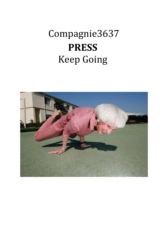# Compagnie3637 **PRESS** Keep Going

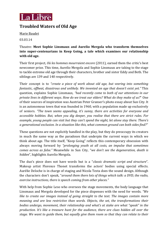

### **Troubled Waters of Old Age**

Marie Baudet

03.03.14

Theatre: **Meet Sophie Linsmaux and Aurelio Mergola who transform themselves into super-centenarians in Keep Going, a tale which examines our relationship with old age.**

Their first project, *Où les hommes mourraient encore* (2011), earned them the critic's best newcomer prize. This time, Aurelio Mergola and Sophie Linsmaux are taking to the stage to tackle extreme old age through their characters, brother and sister Eddy and Beth. The siblings are 139 and 140 respectively.

Their concept is to *"create a piece of work about old age, but veering into something fantastic, offbeat, disastrous and unlikely. We invented an age that doesn't exist yet."* This question, explains Sophie Linsmaux, *"had recently come to both of our attentions in our private lives in different ways. How do we treat our elders? What do they make of us?*" One of their sources of inspiration was Austrian Peter Granser's photo essay about Sun City. It is an autonomous town that was founded in 1960, with a population made up exclusively of seniors. *"The town seems appealing, it's sunny, there are activities for everyone and accessible hobbies. But, when you dig deeper, you realise that there are strict rules. For example, young people can visit but they can't spend the night, let alone stay there. There's a generational exclusion. In a situation like this, what common ground can both sides find?"*

These questions are not explicitly handled in the play, but they do preoccupy its creators in much the same way as the paradoxes that underpin the current ways in which we think about age. The title itself, "Keep Going" reflects this contemporary obsession with always moving forward by *"prolonging youth at all costs, an impulse that sometimes comes across as false."* Meanwhile in Sun City, "*we don't see the degeneration, death is hidden*", highlights Aurelio Mergola.

The duo's piece does not have words but is a "*classic dramatic script and structure*". Makeup artist Florence Thonet transforms the actors' bodies using special effects. Aurélie Deloche is in charge of staging and Nicola Testa does the sound design. Although the characters don't speak, "*around them there lots of things which talk: a DVD, the radio, exercise instructions, there is speech coming from other places."*

With help from Sophie Leso who oversees the stage movements, the body language that Linsmaux and Mergola developed for the piece dispenses with the need for words. *"We like to create our images instead of going straight to the text. The images contain more meaning and are less restrictive than words. Objects, the set, the transformations their bodies undergo, movement, their relationship and what's at stake are what "speak" in the production. It's like a treasure hunt for the audience, there are clues hidden all over the stage. We want to guide them, but equally give them room so that they can relate to their*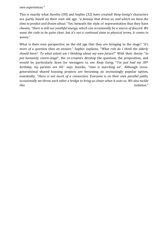*own experiences."*

This is exactly what Aurelio (30) and Sophie (32) have created! *Keep Going'*s characters are partly based on their own old age, *"a fantasy that drives us, and which we have the time to predict and dream about."* Yet, beneath the style of representation that they have chosen, *"there is still our youthful energy, which can occasionally be a source of discord. We* want the code to be quite clear, but it's not a continual state in physical terms, it comes in *waves."*

What is their own perspective on the old age that they are bringing to the stage? "*It's more of a question than an answer*," Sophie explains, "*What role do I think the elderly should have? To what extent am I thinking about my own future*?" With their desire "*to put humanity centre-stage*", the co-creators develop the question, the proposition, and would be particularly keen for teenagers to see *Keep Going.* "*I've just had my 30th birthday, my parents are 60*," says Aurelio, "*time is marching on*". Although crossgenerational shared housing projects are becoming an increasingly popular option, essentially, "*there is not much of a connection. Everyone is on their own parallel paths, occasionally we throw each other a bridge to bring us closer when it suits us. We also tackle this isolation*."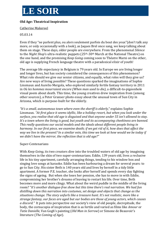# **LE SOIR**

### **Old Age: Theatrical Inspiration**

### Catherine Makereel

#### 05.03.14

Even if they "ne parlent plus, ou alors seulement parfois du bout des yeux"(don't talk any more, or only occasionally with a look), as Jaques Brel once sang, we keep talking about them on stage. These days, older people are everywhere. From the phenomenal *Silence* to the *Night Shop*'s ultra-realistic puppets (25th-30th March at the National Theatre) on the one hand, and the promising *Keep Going* coming soon to Théatre Marni on the other, old age is supplying French language theatre with a paradoxical elixir of youth!

The average life expectancy in Belgium is 79 years old. In Europe we are living longer and longer lives, but has society considered the consequences of this phenomenon? What role should we give our senior citizens, and equally, what roles will they give us? Are new ways of living possible? These questions sparked the imaginations of Sophie Linsmaux and Aurelio Mergola, who explored similarly fertile fantasy territory in 2011 in *Où les hommes mourraient encore (When man used to die)*, a difficult-to-pigeonhole visual poem about death. This time, the young creatives drew inspiration from (among other sources), a Peter Granser photo essay about the unusual town of Sun City in Arizona, which is purpose-built for the elderly.

*"It's a small, autonomous town where even the sheriff is elderly*," explains Sophie Linsmaux*. "At first glace it seems idyllic, like a holiday resort, but when you look under the surface, you realise that old age is disguised and that anyone under 55 isn't allowed to stay. It's a town where the living is good, but youth and its accompanying cheekiness are banned. This really questions our social models and the ideals about different people living in* harmony. In our first piece, we examine death; if we get rid of it, how does that affect the way we live in the present? In a similar vein, this time we look at how would we be today if *we didn't have the mirror, the reflection that is old age?"*

### Super-Centenarians

With *Keep Going,* its two creators dive into the troubled waters of old age by imagining themselves in the skin of two super-centenarians. Eddie, 139 years old, lives a reclusive life in his tiny apartment, carefully arranging things, tending to his window box and singing love songs at karaoke. Eddie has been harbouring a dream for several years: to go to Sun City. His sister Beth is 140 years old and lives by herself in a tidy little apartment. A former P.E. teacher, she looks after herself and spends every day fighting the signs of ageing. But when she loses her pension, she has to move in with Eddie, compromising her brother's dreams of leaving to restart his life. Over time, Beth becomes more and more clingy. What about the weird puddle in the middle of the living room? "*It's another dialogue-free show but this time there's real narration. We had fun distilling down this narration into costumes, set design and objects that change as the situations change. The story unfurls like a treasure hunt. It's not realistic, more like a strange fantasy, our faces are aged but our bodies are those of young actors, which causes a discord."* It puts into perspective our society's view of old people, decrepitude, the body, the cornucopia of inspiration that is as fertile and varied as films like *Amour* or *Tatie Danielle*, Van Gogh's painting (*Old Man in Sorrow*) or Simone de Beauvoir's literature (*The Coming of Age*).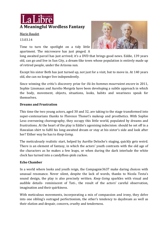

Marie Baudet

13.03.14

Time to turn the spotlight on a tidy little apartment. The microwave has just pinged. A

long awaited parcel has just arrived; it's a DVD that brings good news. Eddie, 139 years old, can go and live in Sun City, a dream-like town whose population is entirely made up of retired people, under the Arizona sun.

Except his sister Beth has just turned up, not just for a visit, but to move in. At 140 years old, she can no longer live independently.

Since winning the critic's discovery prize for *Où les hommes mourraient encore* in 2011, Sophie Linsmaux and Aurelio Mergola have been developing a subtle approach in which the body, movement, objects, situations, looks, habits and weariness speak for themselves.

### **Dreams and Frustration**

This time the two young actors, aged 30 and 32, are taking to the stage transformed into super-centenarians thanks to Florence Thonet's makeup and prosthetics. With Sophie Leso overseeing choreography, they occupy this little world, populated by dreams and frustrations. At the heart of the play is Eddie's agonising indecision: should he set off in a Hawaiian shirt to fulfil his long-awaited dream or stay at his sister's side and look after her? Either way he has to *Keep Going*.

The meticulously realistic start, helped by Aurélie Deloche's staging, quickly gets weird. There is an element of fantasy, in which the actors' youth contrasts with the old age of the characters as he makes a few leaps, or when during the dark interlude the white clock has turned into a candyfloss-pink cuckoo.

### **Echo Chamber**

In a world where looks and youth reign, the Compagnie3637 make daring choices with unusual resonance. Never silent, despite the lack of words, thanks to Nicola Testa's sound design, the play is also precisely written. *Keep Going* sparkles with visual and audible details- reminiscent of Tati-, the result of the actors' careful observation, imagination and their quirkiness.

With meticulous movements, incorporating a mix of compassion and irony, they delve into one sibling's outraged perfectionism, the other's tendency to daydream as well as their elation and despair, concern, cruelty and tenderness.

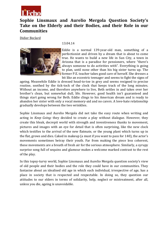

### **Sophie Linsmaux and Aurelio Mergola Question Society's Take on the Elderly and their Bodies, and their Role in our Communities**

Didier Beclard



13.04.14

Eddie is a normal 139-year-old man, something of a perfectionist and driven by a dream that is about to come true. He wants to build a new life in Sun City, a town in Arizona that is a paradise for pensioners, where "there's always someone to do activities with". Everything is going to plan, until none other than his big sister turns up. The former P.E. teacher takes good care of herself. She dresses a bit like an eccentric teenager and seems to fight the signs of

ageing. Meanwhile Eddie is dressed head-to-toe in grey and seems resigned to precise routine, soothed by the tick-tock of the clock that keeps track of the long minutes. Without an income, and therefore anywhere to live, Beth settles in and takes over her brother's clean, but somewhat dull, life. However, good health isn't guaranteed and things start going wrong for Beth. Eddie clings to his American dream and is ready to abandon her sister with only a vocal memory-aid and no carers. A love-hate relationship gradually develops between the two wrinklies.

Sophie Linsmaux and Aurelio Mergola did not take the easy route when writing and acting in *Keep Going:* they decided to create a play without dialogue. However, they create this bleak, decrepit world with strength and inventiveness thanks to movement, pictures and images with an eye for detail that is often surprising, like the new clock which testifies to the arrival of the new flatmate, or the young plant which turns up in the flat, grows and dies. Caked in makeup (a must if you want to pass for 140), the actor's movements sometimes betray their youth. Far from making the piece less coherent, these movements are a breath of fresh air for the serious atmosphere. Similarly, a syrupy surprise song full of sequins and glamour makes a welcome marked contrast to the rest of the play.

In this topsy-turvy world, Sophie Linsmaux and Aurelio Mergola question society's view of old people and their bodies and the role they could have in our communities. They fantasise about an idealised old age in which each individual, irrespective of age, has a place in society that is respected and respectable. In doing so, they question our attitudes to our elders in terms of solidarity, help, neglect or mistreatment, after all, unless you die, ageing is unavoidable.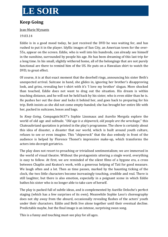# **LE SOIR**

## **Keep Going**

### Jean-Marie Wynants

### 19.03.14

Eddie is in a good mood today, he just received the DVD he was waiting for, and has rushed to put it in the player. Idyllic images of Sun City, an American town for the over-55s, appear on the screen. Eddie, who is well into his hundreds, can already see himself in the sunshine, surrounded by people his age. He has been dreaming of this last trip for a long time. In his small, slightly withered home, all of the belongings that are not purely functional are there to remind him of the US. He puts on a Hawaiian shirt to watch the DVD, to great effect.

Of course, it is at that exact moment that the doorbell rings, announcing his sister Beth's unexpected arrival. Suitcase in hand, she glides in, ignoring her brother's disapproving look, and grins, revealing her t-shirt with it's 'I love my brother' slogan. More shocked than touched, Eddie does not want to drag out the situation. His dream is within touching distance, and he will not be held back by his sister, who is even older than he is. He pushes her out the door and locks it behind her, and goes back to preparing for his trip. Beth insists as she did not come empty-handed; she has brought her entire life with her, packed in suitcases, boxes and bags.

In *Keep Going*, Compagnie3637's Sophie Linsmaux and Aurelio Mergola explore the world of old age and solitude. "*Old age is a shipwreck, old people are the wreckage*," this Chateaubriand quotation is printed in the play's programme. The show is certainly about this idea of disaster, a disaster that our world, which is built around youth culture, refuses to see or even imagine. This "shipwreck" that the duo embody in front of the audience is helped by Florence Thonet's impressive make-up, which transforms the actors into decrepit geriatrics.

The play does not resort to preaching or trivialised sentimentalism; we are immersed in the world of visual theatre. Without the protagonists uttering a single word, everything is easy to follow. At first, we are reminded of the silent films of a bygone era, a cross between Chaplin and Keaton's work, with a generous helping of Tati for good measure. We laugh often and a lot. Then as time passes, marked by the haunting ticking of the clock, the two little characters become increasingly touching, credible and real. There is still laughter, but there is also emotion, especially in a poignant scene in which Eddie bathes his sister who is no longer able to take care of herself.

The play is packed full of subtle ideas, and is complemented by Aurélie Deloche's perfect staging (which has a few surprises of its own). Meanwhile Sophie Leso's choreography does not shy away from the absurd, occasionally revealing flashes of the actors' youth under their characters. Eddie and Beth live alone together until their eventual decline. Predictable maybe, but the final image is an intense, surprising swan song.

This is a funny and touching must-see play for all ages.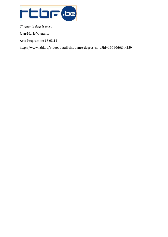

*Cinquante degrés Nord*

Jean-Marie Wynants

Arte Programme 18.03.14

http://www.rtbf.be/video/detail [cinquante-degres-nord?id=1904060&t=259](http://www.rtbf.be/video/detail_cinquante-degres-nord?id=1904060&t=259)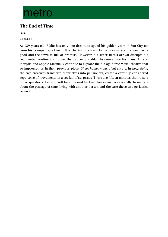# metro

# **The End of Time**

N.N.

21.03.14

At 139 years old, Eddie has only one dream, to spend his golden years in Sun City far from his cramped apartment. It is the Arizona town for seniors where the weather is good and the town is full of promise. However, his sister Beth's arrival disrupts his regimented routine and forces the dapper granddad to re-evaluate his plans. Aurelio Mergola and Sophie Linsmaux continue to explore the dialogue-free visual theatre that so impressed us in their previous piece, *Où les homes mourraient encore.* In *Keep Going* the two creatives transform themselves into pensioners, create a carefully considered repertoire of movements in a set full of surprises. These are fifteen minutes that raise a lot of questions. Let yourself be surprised by this cheeky and occasionally biting tale about the passage of time, living with another person and the care these two geriatrics receive.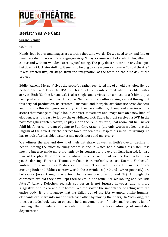

### **Resist? Yes We Can!**

Suzane Vanilla

#### 08.04.14

Hands, feet, bodies and images are worth a thousand words! Do we need to try and find or imagine a dictionary of body language? *Keep Going* is reminiscent of a silent film, albeit in colour and without wooden, stereotypical acting. The play does not contain any dialogue, but does not lack storytelling; it seems to belong to a new genre known as "visual theatre". It was created live, on stage, from the imagination of the team on the first day of the project.

Eddie (Aurelio Mergola) lives the peaceful, rather restricted life of an old bachelor. He is a perfectionist and loves the USA, but his quiet life is interrupted when his older sister arrives. Beth (Sophie Linsmaux), is also single, and arrives at his house to ask him to put her up after an implied loss of income. Neither of them utters a single word throughout this original production. Its creators, Linsmaux and Mergola, are fantastic actor-dancers, and promote this dialogue-free, story-rich theatre excellently, throughout a series of little scenes that manage to "say" a lot. In contrast, movement and image take on a new kind of eloquence, as it is easy to follow the established plot. Eddie has just received a DVD in the post. Wriggling with pleasure, he plays it on the TV in his little, neat room, but he'll never fulfil his American dream of going to Sun City, Arizona (the only words we hear are the English of the advert for the perfect town for seniors). Despite his initial misgivings, he has to look after his older sister as she needs more and more care.

We witness the ups and downs of their flat share, as well as Beth's overall decline in health. Among the most touching scenes is one in which Eddie bathes his sister. It is moving but also made more dramatic by its contrast to the overall light-hearted, fantasy tone of the play. It borders on the absurd when at one point we see them relive their youth, dancing. Florence Thonet's makeup is remarkable, as are Noémie Vanheste's vintage props and Nicola Testa's sound design. These are important elements for recreating Beth and Eddie's narrow world; these wrinklies (140 and 139 respectively) are believable (even though the actors themselves are only 30 and 32). Although the characters are old they have kept themselves in fine fettle. Are we looking at a realistic future? Aurélie Deloche's realistic set design is not futurist however, and is more suggestive of our era and our homes. We rediscover the importance of acting with the entire body, it is a language that has fallen out of use (for example, unlike humans, elephants can share information with each other by moving their ears). In *Keep Going,* the tiniest attitude, look, way an object is held, movement or infinitely small change is full of meaning: the mundane in particular, but also in the foreshadowing of inevitable degeneration.